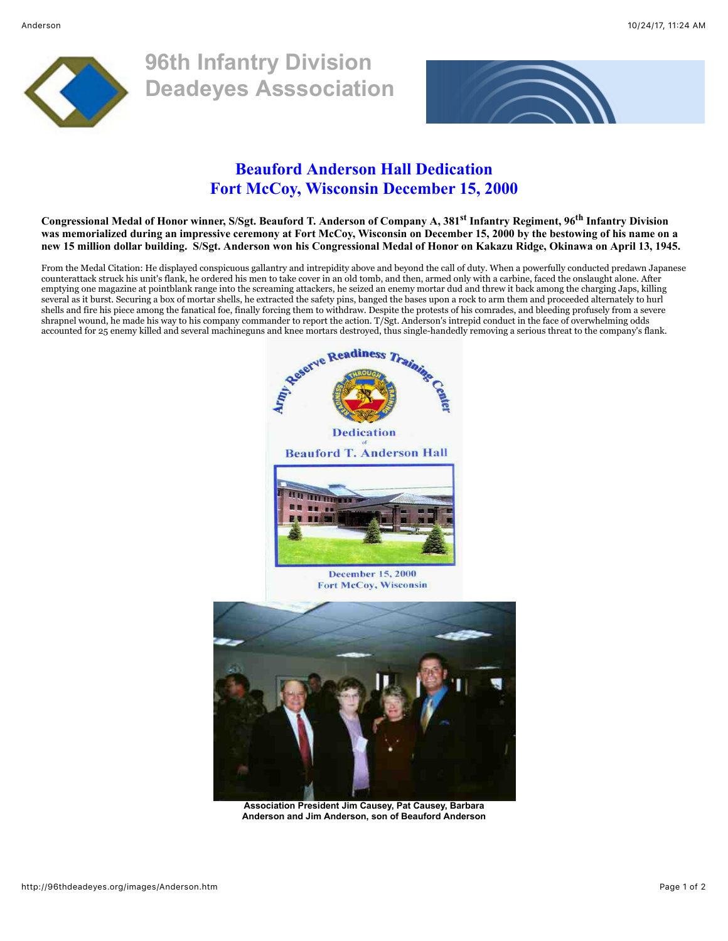

**96th Infantry Division Deadeyes Asssociation**



## **Beauford Anderson Hall Dedication Fort McCoy, Wisconsin December 15, 2000**

**Congressional Medal of Honor winner, S/Sgt. Beauford T. Anderson of Company A, 381st Infantry Regiment, 96th Infantry Division was memorialized during an impressive ceremony at Fort McCoy, Wisconsin on December 15, 2000 by the bestowing of his name on a new 15 million dollar building. S/Sgt. Anderson won his Congressional Medal of Honor on Kakazu Ridge, Okinawa on April 13, 1945.**

From the Medal Citation: He displayed conspicuous gallantry and intrepidity above and beyond the call of duty. When a powerfully conducted predawn Japanese counterattack struck his unit's flank, he ordered his men to take cover in an old tomb, and then, armed only with a carbine, faced the onslaught alone. After emptying one magazine at pointblank range into the screaming attackers, he seized an enemy mortar dud and threw it back among the charging Japs, killing several as it burst. Securing a box of mortar shells, he extracted the safety pins, banged the bases upon a rock to arm them and proceeded alternately to hurl shells and fire his piece among the fanatical foe, finally forcing them to withdraw. Despite the protests of his comrades, and bleeding profusely from a severe shrapnel wound, he made his way to his company commander to report the action. T/Sgt. Anderson's intrepid conduct in the face of overwhelming odds



**Association President Jim Causey, Pat Causey, Barbara Anderson and Jim Anderson, son of Beauford Anderson**